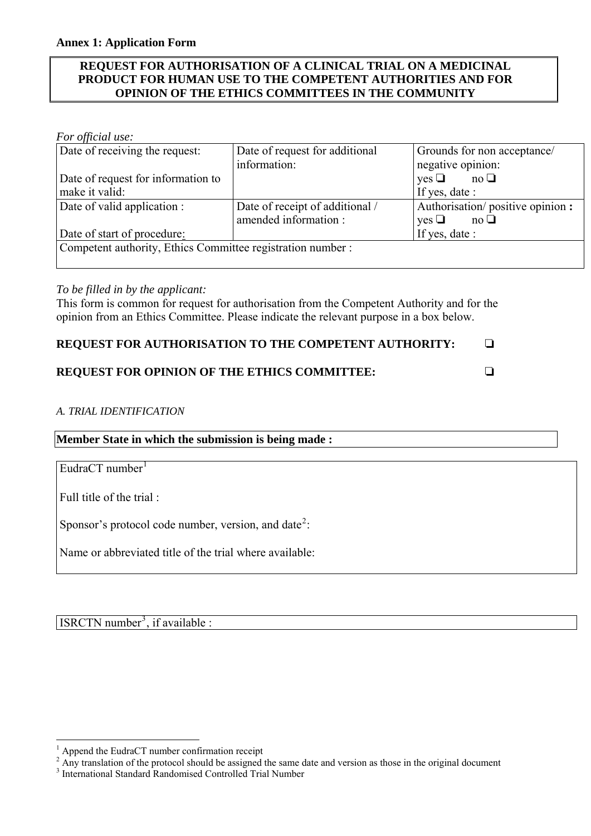## **REQUEST FOR AUTHORISATION OF A CLINICAL TRIAL ON A MEDICINAL PRODUCT FOR HUMAN USE TO THE COMPETENT AUTHORITIES AND FOR OPINION OF THE ETHICS COMMITTEES IN THE COMMUNITY**

## *For official use:*

| Date of receiving the request:                              | Date of request for additional  | Grounds for non acceptance/                     |
|-------------------------------------------------------------|---------------------------------|-------------------------------------------------|
|                                                             | information:                    | negative opinion:                               |
| Date of request for information to                          |                                 | $\mathrm{yes} \ \Box \qquad \mathrm{no} \ \Box$ |
| make it valid:                                              |                                 | If yes, date :                                  |
| Date of valid application :                                 | Date of receipt of additional / | Authorisation/positive opinion:                 |
|                                                             | amended information:            | $\mathrm{yes} \ \Box \qquad \mathrm{no} \ \Box$ |
| Date of start of procedure:                                 |                                 | If yes, date :                                  |
| Competent authority, Ethics Committee registration number : |                                 |                                                 |
|                                                             |                                 |                                                 |

## *To be filled in by the applicant:*

This form is common for request for authorisation from the Competent Authority and for the opinion from an Ethics Committee. Please indicate the relevant purpose in a box below.

## **REQUEST FOR AUTHORISATION TO THE COMPETENT AUTHORITY:**  $\square$

# **REQUEST FOR OPINION OF THE ETHICS COMMITTEE:** R

# *A. TRIAL IDENTIFICATION*

**Member State in which the submission is being made :** 

EudraCT number $<sup>1</sup>$  $<sup>1</sup>$  $<sup>1</sup>$ </sup>

Full title of the trial :

 $\overline{a}$ 

Sponsor's protocol code number, version, and date<sup>[2](#page-0-1)</sup>:

Name or abbreviated title of the trial where available:

ISRCTN number<sup>[3](#page-0-2)</sup>, if available :

<span id="page-0-0"></span><sup>1</sup> Append the EudraCT number confirmation receipt

<span id="page-0-1"></span> $2 \text{ Any translation of the protocol should be assigned the same date and version as those in the original document.}$ 

<span id="page-0-2"></span><sup>3</sup> International Standard Randomised Controlled Trial Number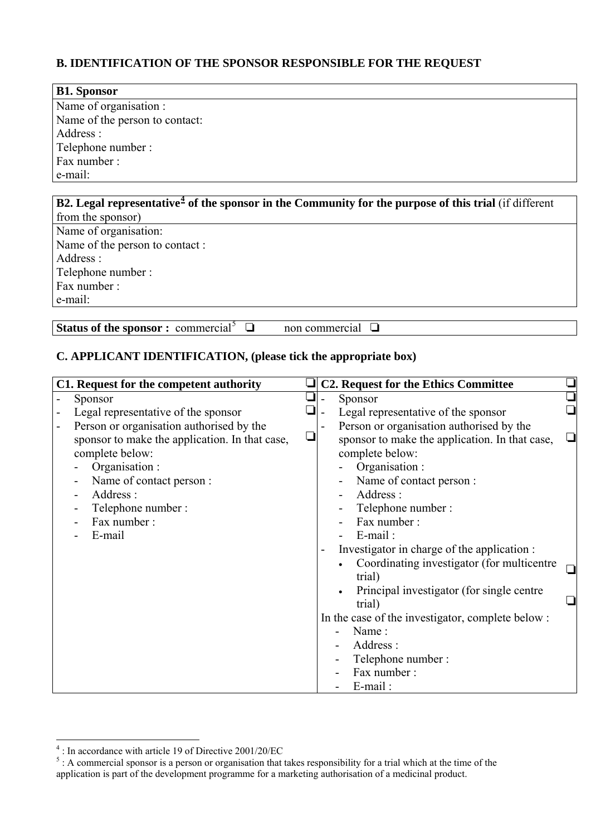# **B. IDENTIFICATION OF THE SPONSOR RESPONSIBLE FOR THE REQUEST**

| <b>B1. Sponsor</b>                                                                                                       |
|--------------------------------------------------------------------------------------------------------------------------|
| Name of organisation :                                                                                                   |
| Name of the person to contact:                                                                                           |
| Address :                                                                                                                |
| Telephone number:                                                                                                        |
| Fax number:                                                                                                              |
| e-mail:                                                                                                                  |
|                                                                                                                          |
| <b>B2.</b> Legal representative <sup>4</sup> of the sponsor in the Community for the purpose of this trial (if different |
| from the sponsor)                                                                                                        |

Name of organisation: Name of the person to contact : Address : Telephone number : Fax number : e-mail:

**Status of the sponsor :** commercial<sup>[5](#page-1-1)</sup>  $\Box$ 

non commercial  $\Box$ 

# **C. APPLICANT IDENTIFICATION, (please tick the appropriate box)**

| C1. Request for the competent authority                                                                                                                                                                    | <b>C2. Request for the Ethics Committee</b>                                                                                                                                                                                                                                                           |  |
|------------------------------------------------------------------------------------------------------------------------------------------------------------------------------------------------------------|-------------------------------------------------------------------------------------------------------------------------------------------------------------------------------------------------------------------------------------------------------------------------------------------------------|--|
| Sponsor                                                                                                                                                                                                    | Sponsor                                                                                                                                                                                                                                                                                               |  |
| Legal representative of the sponsor                                                                                                                                                                        | Legal representative of the sponsor                                                                                                                                                                                                                                                                   |  |
| Person or organisation authorised by the<br>sponsor to make the application. In that case,<br>complete below:<br>Organisation :<br>Name of contact person:<br>Address:<br>Telephone number:<br>Fax number: | Person or organisation authorised by the<br>sponsor to make the application. In that case,<br>complete below:<br>Organisation :<br>Name of contact person:<br>Address:<br>Telephone number:<br>Fax number:                                                                                            |  |
| E-mail                                                                                                                                                                                                     | $E$ -mail:<br>Investigator in charge of the application :<br>Coordinating investigator (for multicentre<br>trial)<br>Principal investigator (for single centre)<br>trial)<br>In the case of the investigator, complete below :<br>Name:<br>Address:<br>Telephone number:<br>Fax number:<br>$E$ -mail: |  |

<span id="page-1-1"></span><span id="page-1-0"></span>

<sup>&</sup>lt;sup>4</sup>: In accordance with article 19 of Directive 2001/20/EC<br><sup>5</sup>: A commercial sponsor is a person or organisation that takes responsibility for a trial which at the time of the application is part of the development programme for a marketing authorisation of a medicinal product.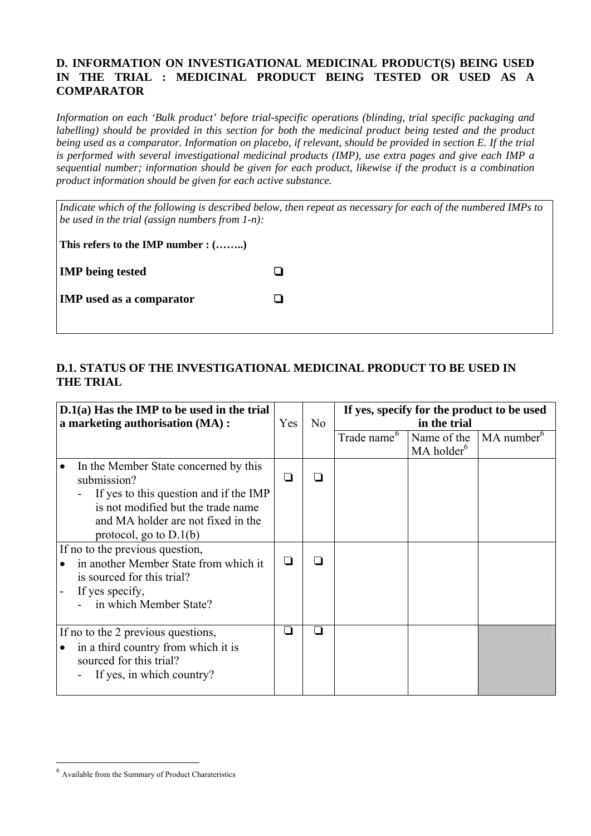## **D. INFORMATION ON INVESTIGATIONAL MEDICINAL PRODUCT(S) BEING USED IN THE TRIAL : MEDICINAL PRODUCT BEING TESTED OR USED AS A COMPARATOR**

*Information on each 'Bulk product' before trial-specific operations (blinding, trial specific packaging and labelling) should be provided in this section for both the medicinal product being tested and the product being used as a comparator. Information on placebo, if relevant, should be provided in section E. If the trial is performed with several investigational medicinal products (IMP), use extra pages and give each IMP a sequential number; information should be given for each product, likewise if the product is a combination product information should be given for each active substance.* 

*Indicate which of the following is described below, then repeat as necessary for each of the numbered IMPs to be used in the trial (assign numbers from 1-n):* 

**This refers to the IMP number : (……..)** 

**IMP** being tested  $\Box$ 

| <b>IMP</b> used as a comparator |  |
|---------------------------------|--|
|---------------------------------|--|

# **D.1. STATUS OF THE INVESTIGATIONAL MEDICINAL PRODUCT TO BE USED IN THE TRIAL**

| $D.1(a)$ Has the IMP to be used in the trial<br>a marketing authorisation (MA) :                                                                                                                       | Yes | N <sub>o</sub> |                         | If yes, specify for the product to be used<br>in the trial |                        |
|--------------------------------------------------------------------------------------------------------------------------------------------------------------------------------------------------------|-----|----------------|-------------------------|------------------------------------------------------------|------------------------|
|                                                                                                                                                                                                        |     |                | Trade name <sup>6</sup> | Name of the<br>MA holder <sup>6</sup>                      | MA number <sup>6</sup> |
| In the Member State concerned by this<br>submission?<br>If yes to this question and if the IMP<br>is not modified but the trade name<br>and MA holder are not fixed in the<br>protocol, go to $D.1(b)$ | ⊔   |                |                         |                                                            |                        |
| If no to the previous question,<br>in another Member State from which it<br>is sourced for this trial?<br>If yes specify,<br>in which Member State?                                                    |     |                |                         |                                                            |                        |
| If no to the 2 previous questions,<br>in a third country from which it is<br>sourced for this trial?<br>If yes, in which country?                                                                      |     |                |                         |                                                            |                        |

<span id="page-2-0"></span><sup>6</sup> Available from the Summary of Product Charateristics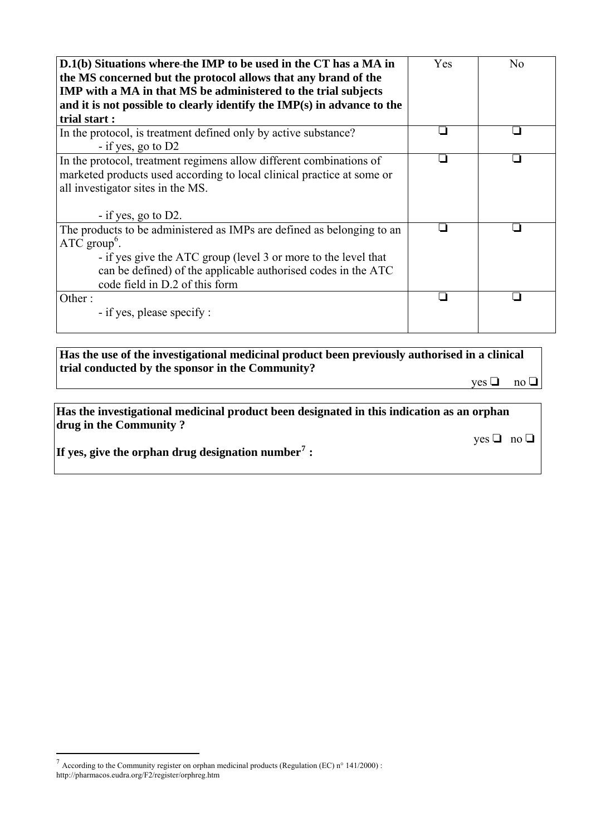| D.1(b) Situations where-the IMP to be used in the CT has a MA in<br>the MS concerned but the protocol allows that any brand of the<br>IMP with a MA in that MS be administered to the trial subjects<br>and it is not possible to clearly identify the IMP(s) in advance to the<br>trial start: | Yes | N <sub>0</sub> |
|-------------------------------------------------------------------------------------------------------------------------------------------------------------------------------------------------------------------------------------------------------------------------------------------------|-----|----------------|
| In the protocol, is treatment defined only by active substance?<br>$-$ if yes, go to D2                                                                                                                                                                                                         |     |                |
| In the protocol, treatment regimens allow different combinations of<br>marketed products used according to local clinical practice at some or<br>all investigator sites in the MS.<br>$-$ if yes, go to D2.                                                                                     |     |                |
| The products to be administered as IMPs are defined as belonging to an<br>$ATC$ group <sup>6</sup> .<br>- if yes give the ATC group (level 3 or more to the level that<br>can be defined) of the applicable authorised codes in the ATC<br>code field in D.2 of this form                       |     |                |
| Other:<br>- if yes, please specify :                                                                                                                                                                                                                                                            |     |                |

**Has the use of the investigational medicinal product been previously authorised in a clinical trial conducted by the sponsor in the Community?**

 $yes \Box no \Box$ 

**Has the investigational medicinal product been designated in this indication as an orphan drug in the Community ?** 

 $yes \Box no \Box$ 

**If yes, give the orphan drug designation number[7](#page-3-0) :** 

<span id="page-3-0"></span><sup>&</sup>lt;sup>7</sup> According to the Community register on orphan medicinal products (Regulation (EC) n° 141/2000) : http://pharmacos.eudra.org/F2/register/orphreg.htm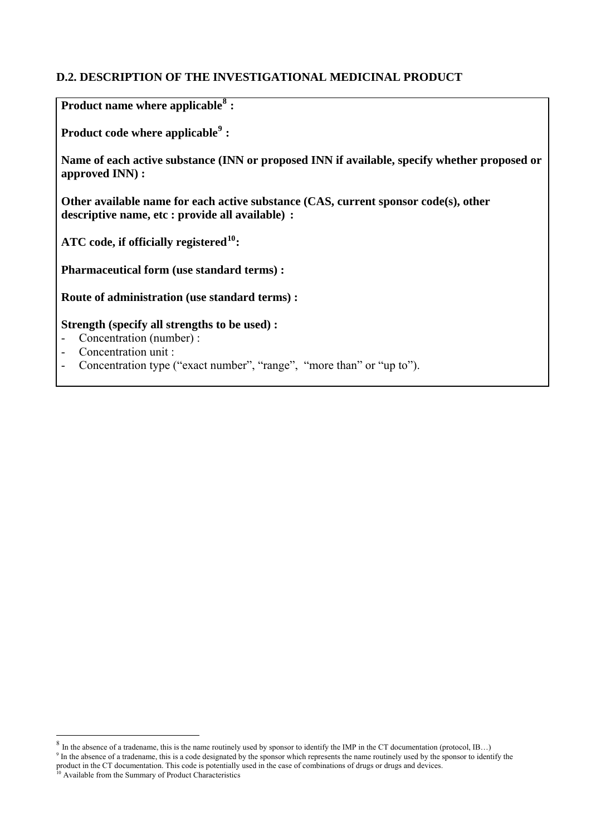# **D.2. DESCRIPTION OF THE INVESTIGATIONAL MEDICINAL PRODUCT**

**Product name where applicable[8](#page-4-0) :** 

**Product code where applicable[9](#page-4-1) :** 

**Name of each active substance (INN or proposed INN if available, specify whether proposed or approved INN) :** 

**Other available name for each active substance (CAS, current sponsor code(s), other descriptive name, etc : provide all available) :** 

**ATC code, if officially registered[10](#page-4-2):** 

**Pharmaceutical form (use standard terms) :** 

**Route of administration (use standard terms) :** 

## **Strength (specify all strengths to be used) :**

- Concentration (number) :
- Concentration unit :<br>- Concentration type (
- Concentration type ("exact number", "range", "more than" or "up to").

<span id="page-4-0"></span><sup>&</sup>lt;sup>8</sup> In the absence of a tradename, this is the name routinely used by sponsor to identify the IMP in the CT documentation (protocol, IB...)

<span id="page-4-1"></span><sup>&</sup>lt;sup>9</sup> In the absence of a tradename, this is a code designated by the sponsor which represents the name routinely used by the sponsor to identify the product in the CT documentation. This code is potentially used in the case of combinations of drugs or drugs and devices.<br><sup>10</sup> Available from the Summary of Product Characteristics

<span id="page-4-2"></span>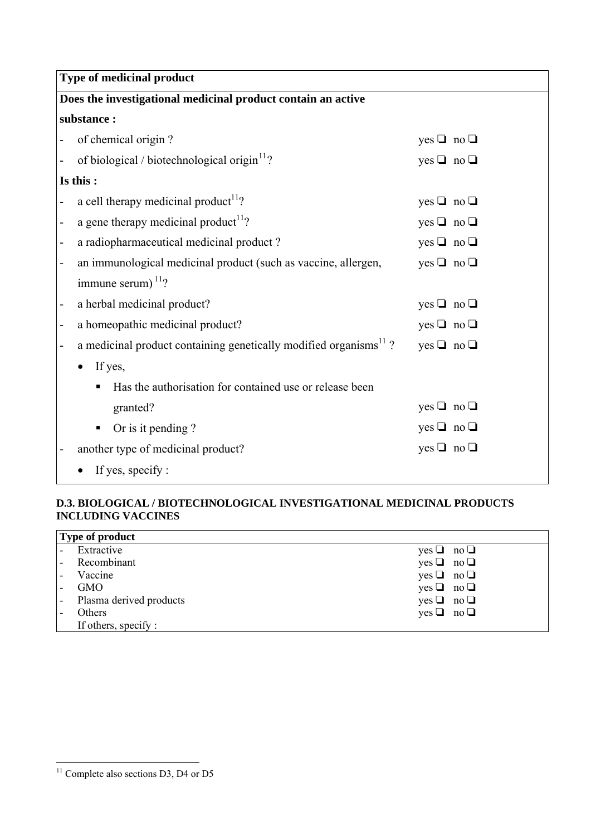| <b>Type of medicinal product</b>                                                           |                      |  |
|--------------------------------------------------------------------------------------------|----------------------|--|
| Does the investigational medicinal product contain an active                               |                      |  |
| substance:                                                                                 |                      |  |
| of chemical origin?                                                                        | yes $\Box$ no $\Box$ |  |
| of biological / biotechnological origin $11$ ?                                             | yes $\Box$ no $\Box$ |  |
| Is this:                                                                                   |                      |  |
| a cell therapy medicinal product <sup>11</sup> ?                                           | yes $\Box$ no $\Box$ |  |
| a gene therapy medicinal product <sup>11</sup> ?                                           | yes $\Box$ no $\Box$ |  |
| a radiopharmaceutical medicinal product?<br>$\qquad \qquad \blacksquare$                   | yes $\Box$ no $\Box$ |  |
| an immunological medicinal product (such as vaccine, allergen,<br>$\overline{\phantom{0}}$ | yes $\Box$ no $\Box$ |  |
| immune serum) $11$ ?                                                                       |                      |  |
| a herbal medicinal product?<br>$\qquad \qquad \blacksquare$                                | yes $\Box$ no $\Box$ |  |
| a homeopathic medicinal product?<br>$\qquad \qquad \blacksquare$                           | yes $\Box$ no $\Box$ |  |
| a medicinal product containing genetically modified organisms <sup>11</sup> ?              | yes $\Box$ no $\Box$ |  |
| If yes,                                                                                    |                      |  |
| Has the authorisation for contained use or release been                                    |                      |  |
| granted?                                                                                   | yes $\Box$ no $\Box$ |  |
| Or is it pending?<br>٠                                                                     | yes $\Box$ no $\Box$ |  |
| yes $\Box$ no $\Box$<br>another type of medicinal product?                                 |                      |  |
| If yes, specify :                                                                          |                      |  |

## **D.3. BIOLOGICAL / BIOTECHNOLOGICAL INVESTIGATIONAL MEDICINAL PRODUCTS INCLUDING VACCINES**

|                          | Type of product         |                      |
|--------------------------|-------------------------|----------------------|
|                          | Extractive              | $yes \Box no \Box$   |
| $\overline{\phantom{a}}$ | Recombinant             | $yes \Box no \Box$   |
| $\overline{\phantom{a}}$ | Vaccine                 | $yes \Box no \Box$   |
|                          | <b>GMO</b>              | yes $\Box$ no $\Box$ |
| $\overline{\phantom{a}}$ | Plasma derived products | yes $\Box$ no $\Box$ |
| ۰                        | Others                  | $yes \Box no \Box$   |
|                          | If others, specify :    |                      |

<span id="page-5-0"></span> $11$  Complete also sections D3, D4 or D5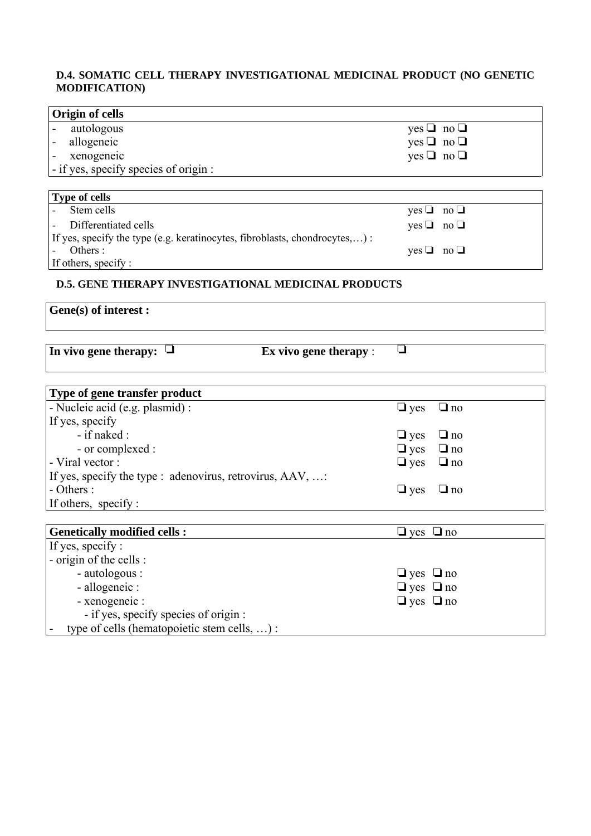## **D.4. SOMATIC CELL THERAPY INVESTIGATIONAL MEDICINAL PRODUCT (NO GENETIC MODIFICATION)**

 $\overline{\phantom{a}}$ 

| Origin of cells                                                             |                      |           |
|-----------------------------------------------------------------------------|----------------------|-----------|
| autologous                                                                  | $yes \Box no \Box$   |           |
| allogeneic                                                                  | yes $\Box$ no $\Box$ |           |
| xenogeneic                                                                  | yes $\Box$ no $\Box$ |           |
| - if yes, specify species of origin :                                       |                      |           |
|                                                                             |                      |           |
| <b>Type of cells</b>                                                        |                      |           |
| Stem cells                                                                  | $ves \sqcup$         | no $\Box$ |
| Differentiated cells                                                        | $yes \Box no \Box$   |           |
| If yes, specify the type (e.g. keratinocytes, fibroblasts, chondrocytes,) : |                      |           |
| Others :                                                                    | $yes \Box$           | no $\Box$ |
| If others, specify :                                                        |                      |           |

#### **D.5. GENE THERAPY INVESTIGATIONAL MEDICINAL PRODUCTS**

# **Gene(s) of interest :**

|  | In vivo gene therapy: |  |
|--|-----------------------|--|
|  |                       |  |

 $\Box$  Ex vivo gene therapy :  $\Box$ 

| Type of gene transfer product                           |                      |
|---------------------------------------------------------|----------------------|
| - Nucleic acid (e.g. plasmid) :                         | $\Box$ yes $\Box$ no |
| If yes, specify                                         |                      |
| $-$ if naked :                                          | $\Box$ yes $\Box$ no |
| - or complexed :                                        | $\Box$ yes $\Box$ no |
| - Viral vector :                                        | $\Box$ yes $\Box$ no |
| If yes, specify the type : adenovirus, retrovirus, AAV, |                      |
| $- Others:$                                             | $\Box$ yes $\Box$ no |
| If others, specify:                                     |                      |

| <b>Genetically modified cells:</b>           | $\Box$ yes $\Box$ no |
|----------------------------------------------|----------------------|
| If yes, specify :                            |                      |
| - origin of the cells :                      |                      |
| - autologous :                               | $\Box$ yes $\Box$ no |
| - allogeneic :                               | $\Box$ yes $\Box$ no |
| - xenogeneic :                               | $\Box$ yes $\Box$ no |
| - if yes, specify species of origin :        |                      |
| type of cells (hematopoietic stem cells, ) : |                      |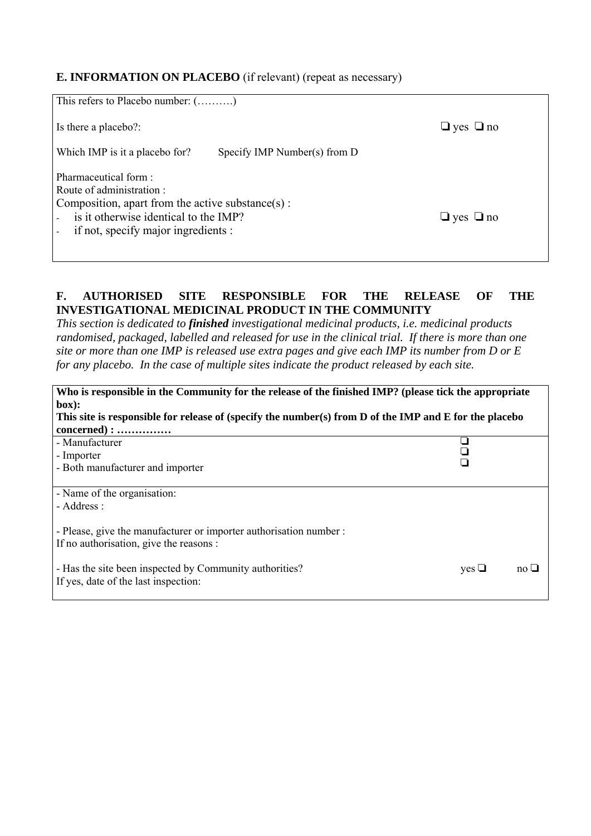# **E. INFORMATION ON PLACEBO** (if relevant) (repeat as necessary)

| This refers to Placebo number: $(\dots, \dots)$                                                                                                                                       |                                |                      |
|---------------------------------------------------------------------------------------------------------------------------------------------------------------------------------------|--------------------------------|----------------------|
| Is there a placebo?:                                                                                                                                                                  |                                | $\Box$ yes $\Box$ no |
| Which IMP is it a placebo for?                                                                                                                                                        | Specify IMP Number(s) from $D$ |                      |
| Pharmaceutical form:<br>Route of administration:<br>Composition, apart from the active substance(s) :<br>is it otherwise identical to the IMP?<br>if not, specify major ingredients : |                                | $\Box$ yes $\Box$ no |

# **F. AUTHORISED SITE RESPONSIBLE FOR THE RELEASE OF THE INVESTIGATIONAL MEDICINAL PRODUCT IN THE COMMUNITY**

*This section is dedicated to finished investigational medicinal products, i.e. medicinal products randomised, packaged, labelled and released for use in the clinical trial. If there is more than one site or more than one IMP is released use extra pages and give each IMP its number from D or E for any placebo. In the case of multiple sites indicate the product released by each site.* 

| Who is responsible in the Community for the release of the finished IMP? (please tick the appropriate  |              |           |
|--------------------------------------------------------------------------------------------------------|--------------|-----------|
| box):                                                                                                  |              |           |
| This site is responsible for release of (specify the number(s) from D of the IMP and E for the placebo |              |           |
| $concerned): \ldots \ldots \ldots \ldots$                                                              |              |           |
| - Manufacturer                                                                                         |              |           |
| - Importer                                                                                             |              |           |
| - Both manufacturer and importer                                                                       |              |           |
|                                                                                                        |              |           |
| - Name of the organisation:                                                                            |              |           |
| - Address :                                                                                            |              |           |
|                                                                                                        |              |           |
| - Please, give the manufacturer or importer authorisation number :                                     |              |           |
| If no authorisation, give the reasons :                                                                |              |           |
|                                                                                                        |              |           |
| - Has the site been inspected by Community authorities?                                                | $yes$ $\Box$ | no $\Box$ |
| If yes, date of the last inspection:                                                                   |              |           |
|                                                                                                        |              |           |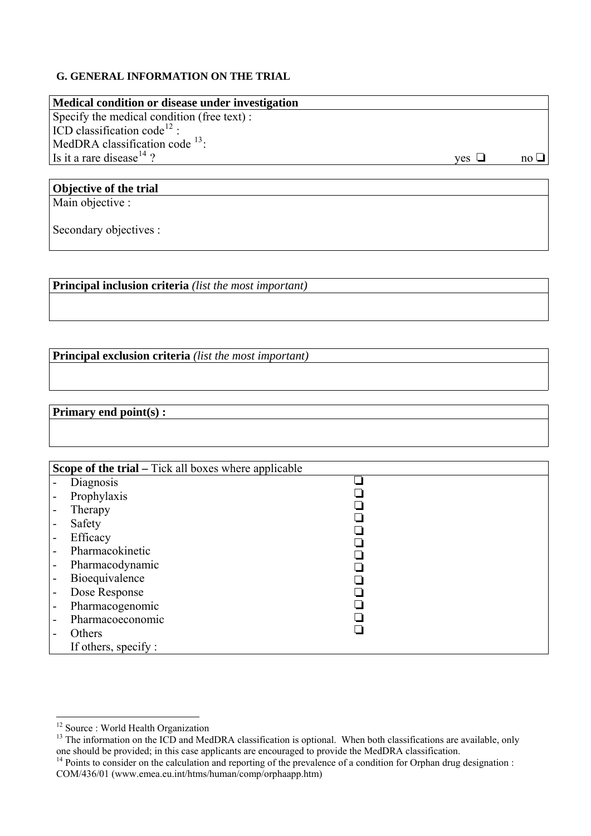## **G. GENERAL INFORMATION ON THE TRIAL**

| Medical condition or disease under investigation |              |               |
|--------------------------------------------------|--------------|---------------|
| Specify the medical condition (free text):       |              |               |
| ICD classification code <sup>12</sup> :          |              |               |
| MedDRA classification code $^{13}$ :             |              |               |
| Is it a rare disease <sup>14</sup> ?             | $ves \sqcup$ | $no \sqcup l$ |
|                                                  |              |               |

# **Objective of the trial**

Main objective :

Secondary objectives :

**Principal inclusion criteria** *(list the most important)*

**Principal exclusion criteria** *(list the most important)*

# **Primary end point(s) :**

|   | <b>Scope of the trial – Tick all boxes where applicable</b> |  |
|---|-------------------------------------------------------------|--|
|   | Diagnosis                                                   |  |
|   | Prophylaxis                                                 |  |
|   | Therapy                                                     |  |
| - | Safety                                                      |  |
| - | Efficacy                                                    |  |
| - | Pharmacokinetic                                             |  |
| - | Pharmacodynamic                                             |  |
| - | Bioequivalence                                              |  |
| - | Dose Response                                               |  |
| - | Pharmacogenomic                                             |  |
| - | Pharmacoeconomic                                            |  |
|   | Others                                                      |  |
|   | If others, specify:                                         |  |

<sup>&</sup>lt;sup>12</sup> Source : World Health Organization

<span id="page-8-1"></span><span id="page-8-0"></span><sup>&</sup>lt;sup>13</sup> The information on the ICD and MedDRA classification is optional. When both classifications are available, only one should be provided; in this case applicants are encouraged to provide the MedDRA classification. 14 Points to consider on the calculation and reporting of the prevalence of a condition for Orphan drug designation :

<span id="page-8-2"></span>COM/436/01 (www.emea.eu.int/htms/human/comp/orphaapp.htm)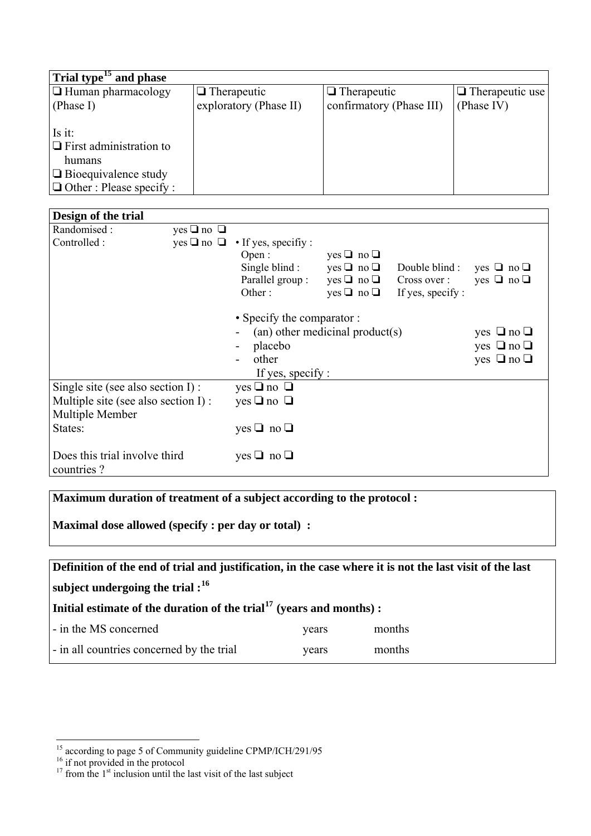| Trial type <sup>15</sup> and phase |                        |                          |                        |
|------------------------------------|------------------------|--------------------------|------------------------|
| $\Box$ Human pharmacology          | $\Box$ Therapeutic     | $\Box$ Therapeutic       | $\Box$ Therapeutic use |
| (Phase I)                          | exploratory (Phase II) | confirmatory (Phase III) | (Phase IV)             |
|                                    |                        |                          |                        |
| Is it:                             |                        |                          |                        |
| $\Box$ First administration to     |                        |                          |                        |
| humans                             |                        |                          |                        |
| $\Box$ Bioequivalence study        |                        |                          |                        |
| $\Box$ Other : Please specify :    |                        |                          |                        |

| Design of the trial                 |                      |                            |                                 |                   |                      |
|-------------------------------------|----------------------|----------------------------|---------------------------------|-------------------|----------------------|
| Randomised:                         | yes $\Box$ no $\Box$ |                            |                                 |                   |                      |
| Controlled :                        | $yes \Box no \Box$   | • If yes, specifiy:        |                                 |                   |                      |
|                                     |                      | Open:                      | $yes \Box no \Box$              |                   |                      |
|                                     |                      | Single blind:              | $yes \Box no \Box$              | Double blind:     | yes $\Box$ no $\Box$ |
|                                     |                      | Parallel group:            | $yes \Box no \Box$              | Cross over :      | yes $\Box$ no $\Box$ |
|                                     |                      | Other:                     | $yes \Box no \Box$              | If yes, specify : |                      |
|                                     |                      | • Specify the comparator : |                                 |                   |                      |
|                                     |                      |                            | (an) other medicinal product(s) |                   | yes $\Box$ no $\Box$ |
|                                     |                      | placebo                    |                                 |                   | yes $\Box$ no $\Box$ |
|                                     |                      | other                      |                                 |                   | yes $\Box$ no $\Box$ |
|                                     |                      | If yes, specify :          |                                 |                   |                      |
| Single site (see also section I) :  |                      | yes $\Box$ no $\Box$       |                                 |                   |                      |
| Multiple site (see also section I): |                      | yes $\Box$ no $\Box$       |                                 |                   |                      |
| Multiple Member                     |                      |                            |                                 |                   |                      |
| States:                             |                      | yes $\Box$ no $\Box$       |                                 |                   |                      |
|                                     |                      |                            |                                 |                   |                      |
| Does this trial involve third       |                      | yes $\Box$ no $\Box$       |                                 |                   |                      |
| countries?                          |                      |                            |                                 |                   |                      |

**Maximum duration of treatment of a subject according to the protocol :** 

**Maximal dose allowed (specify : per day or total) :** 

| Definition of the end of trial and justification, in the case where it is not the last visit of the last |       |        |  |
|----------------------------------------------------------------------------------------------------------|-------|--------|--|
| subject undergoing the trial : $^{16}$                                                                   |       |        |  |
| Initial estimate of the duration of the trial <sup>17</sup> (years and months):                          |       |        |  |
| - in the MS concerned                                                                                    | vears | months |  |
| - in all countries concerned by the trial                                                                | years | months |  |

<span id="page-9-0"></span><sup>&</sup>lt;sup>15</sup> according to page 5 of Community guideline CPMP/ICH/291/95  $^{16}$  if not provided in the protocol

<span id="page-9-1"></span>

<span id="page-9-2"></span> $17$  from the  $1<sup>st</sup>$  inclusion until the last visit of the last subject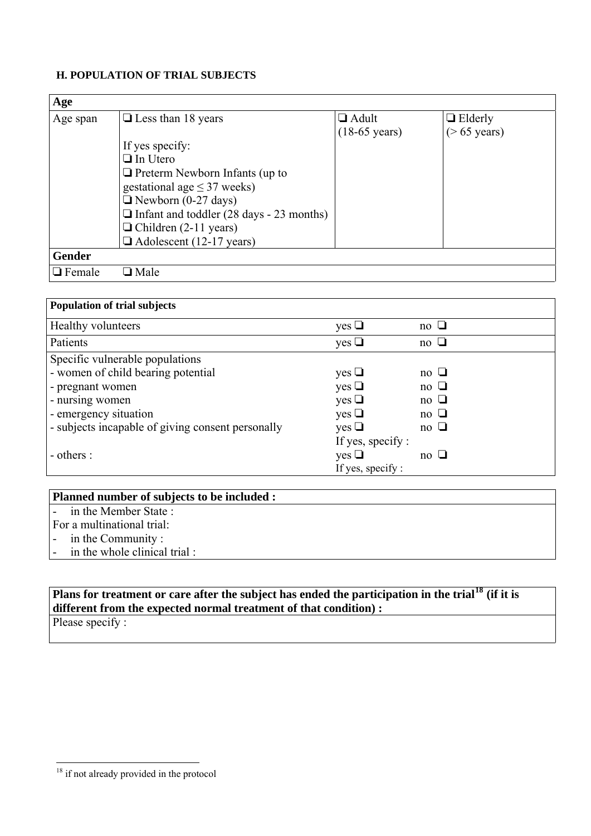# **H. POPULATION OF TRIAL SUBJECTS**

| Age           |                                                 |                         |                 |
|---------------|-------------------------------------------------|-------------------------|-----------------|
| Age span      | $\Box$ Less than 18 years                       | $\Box$ Adult            | $\Box$ Elderly  |
|               |                                                 | $(18-65 \text{ years})$ | $($ > 65 years) |
|               | If yes specify:                                 |                         |                 |
|               | $\Box$ In Utero                                 |                         |                 |
|               | $\Box$ Preterm Newborn Infants (up to           |                         |                 |
|               | gestational age $\leq$ 37 weeks)                |                         |                 |
|               | $\Box$ Newborn (0-27 days)                      |                         |                 |
|               | $\Box$ Infant and toddler (28 days - 23 months) |                         |                 |
|               | $\Box$ Children (2-11 years)                    |                         |                 |
|               | $\Box$ Adolescent (12-17 years)                 |                         |                 |
| <b>Gender</b> |                                                 |                         |                 |
| $\Box$ Female | $\Box$ Male                                     |                         |                 |

| <b>Population of trial subjects</b>               |                        |           |
|---------------------------------------------------|------------------------|-----------|
| <b>Healthy volunteers</b>                         | yes $\Box$             | no $\Box$ |
| Patients                                          | yes $\Box$             | no $\Box$ |
| Specific vulnerable populations                   |                        |           |
| - women of child bearing potential                | $yes \Box$             | no $\Box$ |
| - pregnant women                                  | $yes \Box$             | no $\Box$ |
| - nursing women                                   | $yes \Box$             | no $\Box$ |
| - emergency situation                             | $yes \Box$             | no $\Box$ |
| - subjects incapable of giving consent personally | $yes \Box$             | no $\Box$ |
|                                                   | If yes, specify :      |           |
| - others :                                        | $\mathrm{yes} \square$ | no $\Box$ |
|                                                   | If yes, specify :      |           |

| Planned number of subjects to be included : |  |
|---------------------------------------------|--|
| - in the Member State :                     |  |
| For a multinational trial:                  |  |
| - in the Community:                         |  |
| in the whole clinical trial:                |  |

# **Plans for treatment or care after the subject has ended the participation in the trial[18](#page-10-0) (if it is different from the expected normal treatment of that condition) :**

Please specify :

 $\overline{a}$ 

 $\overline{\phantom{a}}$ 

<span id="page-10-0"></span><sup>&</sup>lt;sup>18</sup> if not already provided in the protocol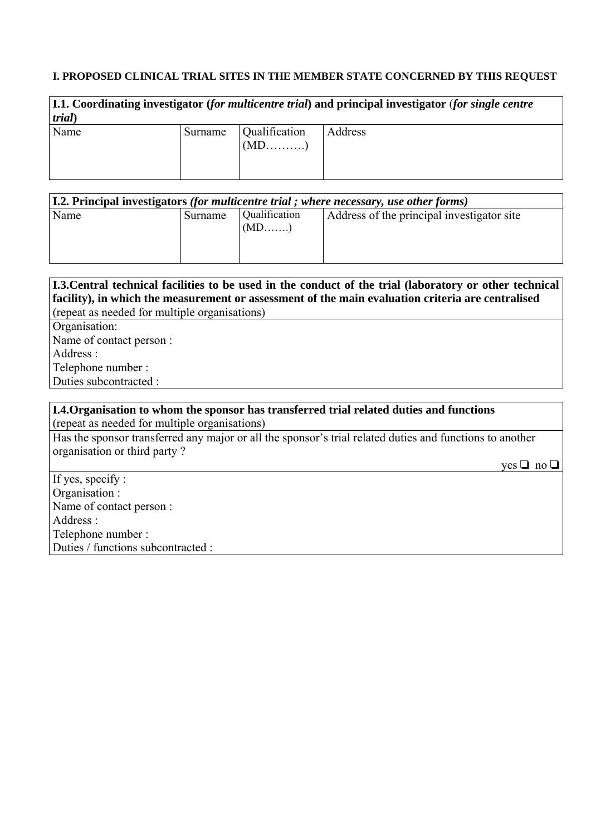## **I. PROPOSED CLINICAL TRIAL SITES IN THE MEMBER STATE CONCERNED BY THIS REQUEST**

| 1.1. Coordinating investigator (for multicentre trial) and principal investigator (for single centre<br>trial) |         |               |         |
|----------------------------------------------------------------------------------------------------------------|---------|---------------|---------|
| Name                                                                                                           | Surname | Qualification | Address |

| [I.2. Principal investigators (for multicentre trial; where necessary, use other forms) |         |                          |                                            |  |
|-----------------------------------------------------------------------------------------|---------|--------------------------|--------------------------------------------|--|
| Name                                                                                    | Surname | Qualification<br>$(MD$ ) | Address of the principal investigator site |  |

| [1.3. Central technical facilities to be used in the conduct of the trial (laboratory or other technical) |  |  |  |
|-----------------------------------------------------------------------------------------------------------|--|--|--|
| facility), in which the measurement or assessment of the main evaluation criteria are centralised         |  |  |  |
| (repeat as needed for multiple organisations)                                                             |  |  |  |
| Organisation:                                                                                             |  |  |  |
| Name of contact person :                                                                                  |  |  |  |
| Address :                                                                                                 |  |  |  |
| Telephone number:                                                                                         |  |  |  |
| Duties subcontracted :                                                                                    |  |  |  |
|                                                                                                           |  |  |  |
| <b>I.4. Organisation to whom the sponsor has transferred trial related duties and functions</b>           |  |  |  |
| (repeat as needed for multiple organisations)                                                             |  |  |  |

Has the sponsor transferred any major or all the sponsor's trial related duties and functions to another organisation or third party ?

 $yes \Box no \Box$ 

If yes, specify : Organisation : Name of contact person : Address : Telephone number : Duties / functions subcontracted :